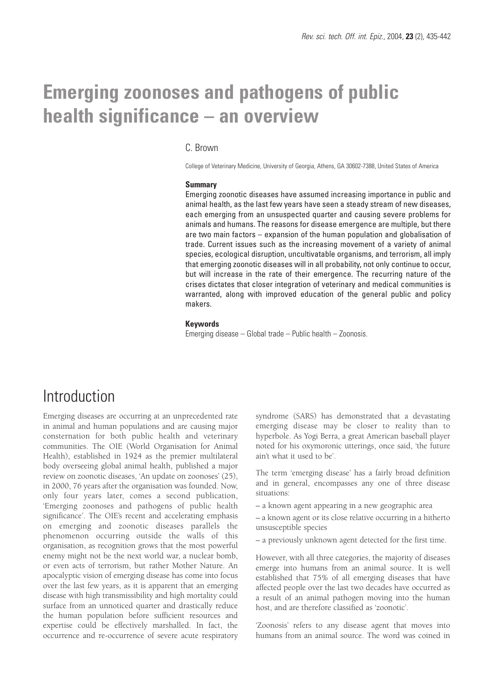# **Emerging zoonoses and pathogens of public health significance – an overview**

#### C. Brown

College of Veterinary Medicine, University of Georgia, Athens, GA 30602-7388, United States of America

#### **Summary**

Emerging zoonotic diseases have assumed increasing importance in public and animal health, as the last few years have seen a steady stream of new diseases, each emerging from an unsuspected quarter and causing severe problems for animals and humans. The reasons for disease emergence are multiple, but there are two main factors – expansion of the human population and globalisation of trade. Current issues such as the increasing movement of a variety of animal species, ecological disruption, uncultivatable organisms, and terrorism, all imply that emerging zoonotic diseases will in all probability, not only continue to occur, but will increase in the rate of their emergence. The recurring nature of the crises dictates that closer integration of veterinary and medical communities is warranted, along with improved education of the general public and policy makers.

#### **Keywords**

Emerging disease – Global trade – Public health – Zoonosis.

# Introduction

Emerging diseases are occurring at an unprecedented rate in animal and human populations and are causing major consternation for both public health and veterinary communities. The OIE (World Organisation for Animal Health), established in 1924 as the premier multilateral body overseeing global animal health, published a major review on zoonotic diseases, 'An update on zoonoses' (25), in 2000, 76 years after the organisation was founded. Now, only four years later, comes a second publication, 'Emerging zoonoses and pathogens of public health significance'. The OIE's recent and accelerating emphasis on emerging and zoonotic diseases parallels the phenomenon occurring outside the walls of this organisation, as recognition grows that the most powerful enemy might not be the next world war, a nuclear bomb, or even acts of terrorism, but rather Mother Nature. An apocalyptic vision of emerging disease has come into focus over the last few years, as it is apparent that an emerging disease with high transmissibility and high mortality could surface from an unnoticed quarter and drastically reduce the human population before sufficient resources and expertise could be effectively marshalled. In fact, the occurrence and re-occurrence of severe acute respiratory

syndrome (SARS) has demonstrated that a devastating emerging disease may be closer to reality than to hyperbole. As Yogi Berra, a great American baseball player noted for his oxymoronic utterings, once said, 'the future ain't what it used to be'.

The term 'emerging disease' has a fairly broad definition and in general, encompasses any one of three disease situations:

– a known agent appearing in a new geographic area

– a known agent or its close relative occurring in a hitherto unsusceptible species

– a previously unknown agent detected for the first time.

However, with all three categories, the majority of diseases emerge into humans from an animal source. It is well established that 75% of all emerging diseases that have affected people over the last two decades have occurred as a result of an animal pathogen moving into the human host, and are therefore classified as 'zoonotic'.

'Zoonosis' refers to any disease agent that moves into humans from an animal source. The word was coined in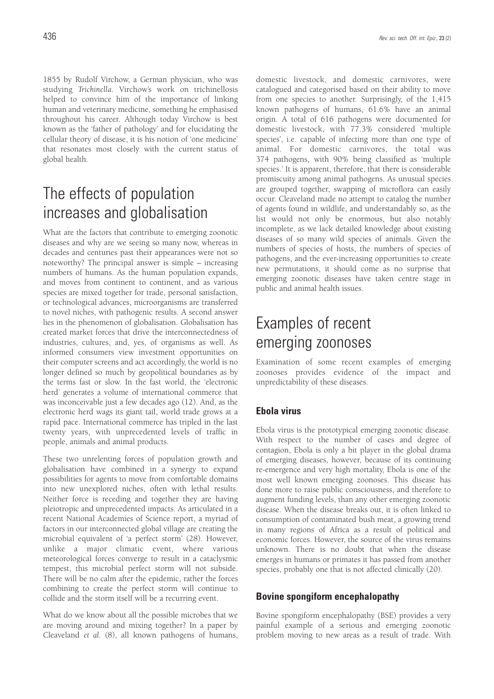1855 by Rudolf Virchow, a German physician, who was studying *Trichinella*. Virchow's work on trichinellosis helped to convince him of the importance of linking human and veterinary medicine, something he emphasised throughout his career. Although today Virchow is best known as the 'father of pathology' and for elucidating the cellular theory of disease, it is his notion of 'one medicine' that resonates most closely with the current status of global health.

# The effects of population increases and globalisation

What are the factors that contribute to emerging zoonotic diseases and why are we seeing so many now, whereas in decades and centuries past their appearances were not so noteworthy? The principal answer is simple – increasing numbers of humans. As the human population expands, and moves from continent to continent, and as various species are mixed together for trade, personal satisfaction, or technological advances, microorganisms are transferred to novel niches, with pathogenic results. A second answer lies in the phenomenon of globalisation. Globalisation has created market forces that drive the interconnectedness of industries, cultures, and, yes, of organisms as well. As informed consumers view investment opportunities on their computer screens and act accordingly, the world is no longer defined so much by geopolitical boundaries as by the terms fast or slow. In the fast world, the 'electronic herd' generates a volume of international commerce that was inconceivable just a few decades ago (12). And, as the electronic herd wags its giant tail, world trade grows at a rapid pace. International commerce has tripled in the last twenty years, with unprecedented levels of traffic in people, animals and animal products.

These two unrelenting forces of population growth and globalisation have combined in a synergy to expand possibilities for agents to move from comfortable domains into new unexplored niches, often with lethal results. Neither force is receding and together they are having pleiotropic and unprecedented impacts. As articulated in a recent National Academies of Science report, a myriad of factors in our interconnected global village are creating the microbial equivalent of 'a perfect storm' (28). However, unlike a major climatic event, where various meteorological forces converge to result in a cataclysmic tempest, this microbial perfect storm will not subside. There will be no calm after the epidemic, rather the forces combining to create the perfect storm will continue to collide and the storm itself will be a recurring event.

What do we know about all the possible microbes that we are moving around and mixing together? In a paper by Cleaveland *et al.* (8), all known pathogens of humans, domestic livestock, and domestic carnivores, were catalogued and categorised based on their ability to move from one species to another. Surprisingly, of the 1,415 known pathogens of humans, 61.6% have an animal origin. A total of 616 pathogens were documented for domestic livestock, with 77.3% considered 'multiple species', i.e. capable of infecting more than one type of animal. For domestic carnivores, the total was 374 pathogens, with 90% being classified as 'multiple species.' It is apparent, therefore, that there is considerable promiscuity among animal pathogens. As unusual species are grouped together, swapping of microflora can easily occur. Cleaveland made no attempt to catalog the number of agents found in wildlife, and understandably so, as the list would not only be enormous, but also notably incomplete, as we lack detailed knowledge about existing diseases of so many wild species of animals. Given the numbers of species of hosts, the numbers of species of pathogens, and the ever-increasing opportunities to create new permutations, it should come as no surprise that emerging zoonotic diseases have taken centre stage in

# Examples of recent emerging zoonoses

public and animal health issues.

Examination of some recent examples of emerging zoonoses provides evidence of the impact and unpredictability of these diseases.

### **Ebola virus**

Ebola virus is the prototypical emerging zoonotic disease. With respect to the number of cases and degree of contagion, Ebola is only a bit player in the global drama of emerging diseases, however, because of its continuing re-emergence and very high mortality, Ebola is one of the most well known emerging zoonoses. This disease has done more to raise public consciousness, and therefore to augment funding levels, than any other emerging zoonotic disease. When the disease breaks out, it is often linked to consumption of contaminated bush meat, a growing trend in many regions of Africa as a result of political and economic forces. However, the source of the virus remains unknown. There is no doubt that when the disease emerges in humans or primates it has passed from another species, probably one that is not affected clinically (20).

### **Bovine spongiform encephalopathy**

Bovine spongiform encephalopathy (BSE) provides a very painful example of a serious and emerging zoonotic problem moving to new areas as a result of trade. With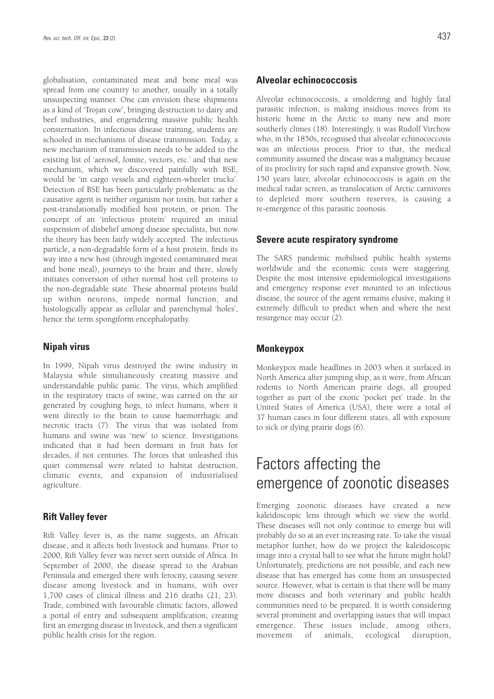globalisation, contaminated meat and bone meal was spread from one country to another, usually in a totally unsuspecting manner. One can envision these shipments as a kind of 'Trojan cow', bringing destruction to dairy and beef industries, and engendering massive public health consternation. In infectious disease training, students are schooled in mechanisms of disease transmission. Today, a new mechanism of transmission needs to be added to the existing list of 'aerosol, fomite, vectors, etc.' and that new mechanism, which we discovered painfully with BSE, would be 'in cargo vessels and eighteen-wheeler trucks'. Detection of BSE has been particularly problematic as the causative agent is neither organism nor toxin, but rather a post-translationally modified host protein, or prion. The concept of an 'infectious protein' required an initial suspension of disbelief among disease specialists, but now the theory has been fairly widely accepted. The infectious particle, a non-degradable form of a host protein, finds its way into a new host (through ingested contaminated meat and bone meal), journeys to the brain and there, slowly initiates conversion of other normal host cell proteins to the non-degradable state. These abnormal proteins build up within neurons, impede normal function, and histologically appear as cellular and parenchymal 'holes', hence the term spongiform encephalopathy.

#### **Nipah virus**

In 1999, Nipah virus destroyed the swine industry in Malaysia while simultaneously creating massive and understandable public panic. The virus, which amplified in the respiratory tracts of swine, was carried on the air generated by coughing hogs, to infect humans, where it went directly to the brain to cause haemorrhagic and necrotic tracts (7). The virus that was isolated from humans and swine was 'new' to science. Investigations indicated that it had been dormant in fruit bats for decades, if not centuries. The forces that unleashed this quiet commensal were related to habitat destruction, climatic events, and expansion of industrialised agriculture.

#### **Rift Valley fever**

Rift Valley fever is, as the name suggests, an African disease, and it affects both livestock and humans. Prior to 2000, Rift Valley fever was never seen outside of Africa. In September of 2000, the disease spread to the Arabian Peninsula and emerged there with ferocity, causing severe disease among livestock and in humans, with over 1,700 cases of clinical illness and 216 deaths (21, 23). Trade, combined with favourable climatic factors, allowed a portal of entry and subsequent amplification, creating first an emerging disease in livestock, and then a significant public health crisis for the region.

### **Alveolar echinococcosis**

Alveolar echinococcosis, a smoldering and highly fatal parasitic infection, is making insidious moves from its historic home in the Arctic to many new and more southerly climes (18). Interestingly, it was Rudolf Virchow who, in the 1850s, recognised that alveolar echinococcosis was an infectious process. Prior to that, the medical community assumed the disease was a malignancy because of its proclivity for such rapid and expansive growth. Now, 150 years later, alveolar echinococcosis is again on the medical radar screen, as translocation of Arctic carnivores to depleted more southern reserves, is causing a re-emergence of this parasitic zoonosis.

#### **Severe acute respiratory syndrome**

The SARS pandemic mobilised public health systems worldwide and the economic costs were staggering. Despite the most intensive epidemiological investigations and emergency response ever mounted to an infectious disease, the source of the agent remains elusive, making it extremely difficult to predict when and where the next resurgence may occur (2).

#### **Monkeypox**

Monkeypox made headlines in 2003 when it surfaced in North America after jumping ship, as it were, from African rodents to North American prairie dogs, all grouped together as part of the exotic 'pocket pet' trade. In the United States of America (USA), there were a total of 37 human cases in four different states, all with exposure to sick or dying prairie dogs (6).

# Factors affecting the emergence of zoonotic diseases

Emerging zoonotic diseases have created a new kaleidoscopic lens through which we view the world. These diseases will not only continue to emerge but will probably do so at an ever increasing rate. To take the visual metaphor further, how do we project the kaleidoscopic image into a crystal ball to see what the future might hold? Unfortunately, predictions are not possible, and each new disease that has emerged has come from an unsuspected source. However, what is certain is that there will be many more diseases and both veterinary and public health communities need to be prepared. It is worth considering several prominent and overlapping issues that will impact emergence. These issues include, among others, movement of animals, ecological disruption,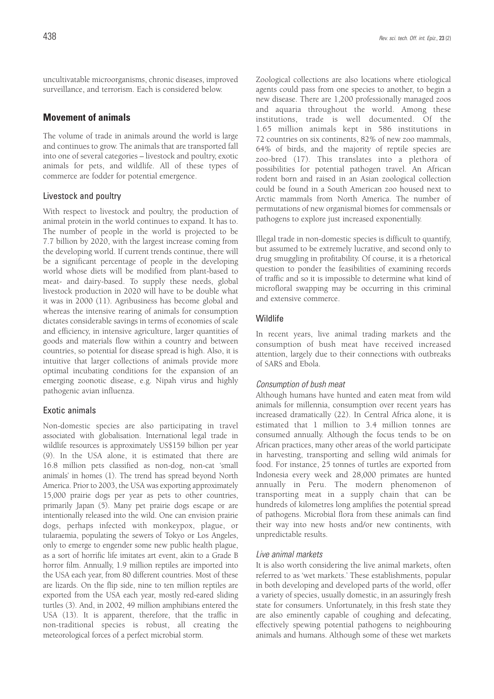uncultivatable microorganisms, chronic diseases, improved surveillance, and terrorism. Each is considered below.

### **Movement of animals**

The volume of trade in animals around the world is large and continues to grow. The animals that are transported fall into one of several categories – livestock and poultry, exotic animals for pets, and wildlife. All of these types of commerce are fodder for potential emergence.

#### Livestock and poultry

With respect to livestock and poultry, the production of animal protein in the world continues to expand. It has to. The number of people in the world is projected to be 7.7 billion by 2020, with the largest increase coming from the developing world. If current trends continue, there will be a significant percentage of people in the developing world whose diets will be modified from plant-based to meat- and dairy-based. To supply these needs, global livestock production in 2020 will have to be double what it was in 2000 (11). Agribusiness has become global and whereas the intensive rearing of animals for consumption dictates considerable savings in terms of economies of scale and efficiency, in intensive agriculture, larger quantities of goods and materials flow within a country and between countries, so potential for disease spread is high. Also, it is intuitive that larger collections of animals provide more optimal incubating conditions for the expansion of an emerging zoonotic disease, e.g. Nipah virus and highly pathogenic avian influenza.

### Exotic animals

Non-domestic species are also participating in travel associated with globalisation. International legal trade in wildlife resources is approximately US\$159 billion per year (9). In the USA alone, it is estimated that there are 16.8 million pets classified as non-dog, non-cat 'small animals' in homes (1). The trend has spread beyond North America. Prior to 2003, the USA was exporting approximately 15,000 prairie dogs per year as pets to other countries, primarily Japan (5). Many pet prairie dogs escape or are intentionally released into the wild. One can envision prairie dogs, perhaps infected with monkeypox, plague, or tularaemia, populating the sewers of Tokyo or Los Angeles, only to emerge to engender some new public health plague, as a sort of horrific life imitates art event, akin to a Grade B horror film. Annually, 1.9 million reptiles are imported into the USA each year, from 80 different countries. Most of these are lizards. On the flip side, nine to ten million reptiles are exported from the USA each year, mostly red-eared sliding turtles (3). And, in 2002, 49 million amphibians entered the USA (13). It is apparent, therefore, that the traffic in non-traditional species is robust, all creating the meteorological forces of a perfect microbial storm.

Zoological collections are also locations where etiological agents could pass from one species to another, to begin a new disease. There are 1,200 professionally managed zoos and aquaria throughout the world. Among these institutions, trade is well documented. Of the 1.65 million animals kept in 586 institutions in 72 countries on six continents, 82% of new zoo mammals, 64% of birds, and the majority of reptile species are zoo-bred (17). This translates into a plethora of possibilities for potential pathogen travel. An African rodent born and raised in an Asian zoological collection could be found in a South American zoo housed next to Arctic mammals from North America. The number of permutations of new organismal biomes for commensals or pathogens to explore just increased exponentially.

Illegal trade in non-domestic species is difficult to quantify, but assumed to be extremely lucrative, and second only to drug smuggling in profitability. Of course, it is a rhetorical question to ponder the feasibilities of examining records of traffic and so it is impossible to determine what kind of microfloral swapping may be occurring in this criminal and extensive commerce.

#### Wildlife

In recent years, live animal trading markets and the consumption of bush meat have received increased attention, largely due to their connections with outbreaks of SARS and Ebola.

#### Consumption of bush meat

Although humans have hunted and eaten meat from wild animals for millennia, consumption over recent years has increased dramatically (22). In Central Africa alone, it is estimated that 1 million to 3.4 million tonnes are consumed annually. Although the focus tends to be on African practices, many other areas of the world participate in harvesting, transporting and selling wild animals for food. For instance, 25 tonnes of turtles are exported from Indonesia every week and 28,000 primates are hunted annually in Peru. The modern phenomenon of transporting meat in a supply chain that can be hundreds of kilometres long amplifies the potential spread of pathogens. Microbial flora from these animals can find their way into new hosts and/or new continents, with unpredictable results.

#### Live animal markets

It is also worth considering the live animal markets, often referred to as 'wet markets.' These establishments, popular in both developing and developed parts of the world, offer a variety of species, usually domestic, in an assuringly fresh state for consumers. Unfortunately, in this fresh state they are also eminently capable of coughing and defecating, effectively spewing potential pathogens to neighbouring animals and humans. Although some of these wet markets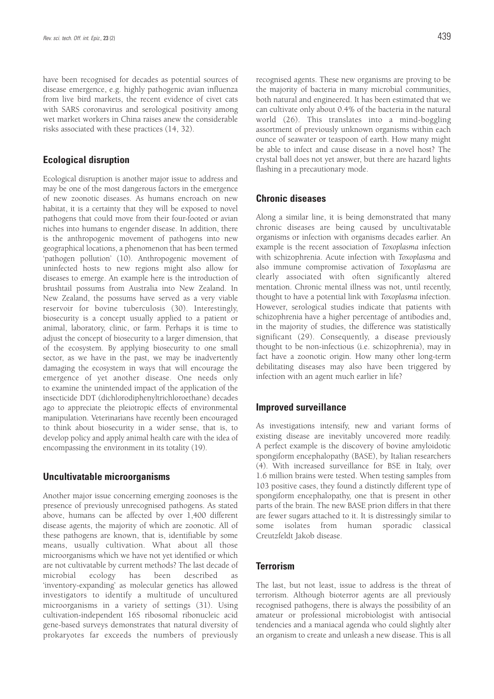have been recognised for decades as potential sources of disease emergence, e.g. highly pathogenic avian influenza from live bird markets, the recent evidence of civet cats with SARS coronavirus and serological positivity among wet market workers in China raises anew the considerable risks associated with these practices (14, 32).

#### **Ecological disruption**

Ecological disruption is another major issue to address and may be one of the most dangerous factors in the emergence of new zoonotic diseases. As humans encroach on new habitat, it is a certainty that they will be exposed to novel pathogens that could move from their four-footed or avian niches into humans to engender disease. In addition, there is the anthropogenic movement of pathogens into new geographical locations, a phenomenon that has been termed 'pathogen pollution' (10). Anthropogenic movement of uninfected hosts to new regions might also allow for diseases to emerge. An example here is the introduction of brushtail possums from Australia into New Zealand. In New Zealand, the possums have served as a very viable reservoir for bovine tuberculosis (30). Interestingly, biosecurity is a concept usually applied to a patient or animal, laboratory, clinic, or farm. Perhaps it is time to adjust the concept of biosecurity to a larger dimension, that of the ecosystem. By applying biosecurity to one small sector, as we have in the past, we may be inadvertently damaging the ecosystem in ways that will encourage the emergence of yet another disease. One needs only to examine the unintended impact of the application of the insecticide DDT (dichlorodiphenyltrichloroethane) decades ago to appreciate the pleiotropic effects of environmental manipulation. Veterinarians have recently been encouraged to think about biosecurity in a wider sense, that is, to develop policy and apply animal health care with the idea of encompassing the environment in its totality (19).

#### **Uncultivatable microorganisms**

Another major issue concerning emerging zoonoses is the presence of previously unrecognised pathogens. As stated above, humans can be affected by over 1,400 different disease agents, the majority of which are zoonotic. All of these pathogens are known, that is, identifiable by some means, usually cultivation. What about all those microorganisms which we have not yet identified or which are not cultivatable by current methods? The last decade of microbial ecology has been described as 'inventory-expanding' as molecular genetics has allowed investigators to identify a multitude of uncultured microorganisms in a variety of settings (31). Using cultivation-independent 16S ribosomal ribonucleic acid gene-based surveys demonstrates that natural diversity of prokaryotes far exceeds the numbers of previously

recognised agents. These new organisms are proving to be the majority of bacteria in many microbial communities, both natural and engineered. It has been estimated that we can cultivate only about 0.4% of the bacteria in the natural world (26). This translates into a mind-boggling assortment of previously unknown organisms within each ounce of seawater or teaspoon of earth. How many might be able to infect and cause disease in a novel host? The crystal ball does not yet answer, but there are hazard lights

#### **Chronic diseases**

flashing in a precautionary mode.

Along a similar line, it is being demonstrated that many chronic diseases are being caused by uncultivatable organisms or infection with organisms decades earlier. An example is the recent association of *Toxoplasma* infection with schizophrenia. Acute infection with *Toxoplasma* and also immune compromise activation of *Toxoplasma* are clearly associated with often significantly altered mentation. Chronic mental illness was not, until recently, thought to have a potential link with *Toxoplasma* infection. However, serological studies indicate that patients with schizophrenia have a higher percentage of antibodies and, in the majority of studies, the difference was statistically significant (29). Consequently, a disease previously thought to be non-infectious (i.e. schizophrenia), may in fact have a zoonotic origin. How many other long-term debilitating diseases may also have been triggered by infection with an agent much earlier in life?

#### **Improved surveillance**

As investigations intensify, new and variant forms of existing disease are inevitably uncovered more readily. A perfect example is the discovery of bovine amyloidotic spongiform encephalopathy (BASE), by Italian researchers (4). With increased surveillance for BSE in Italy, over 1.6 million brains were tested. When testing samples from 103 positive cases, they found a distinctly different type of spongiform encephalopathy, one that is present in other parts of the brain. The new BASE prion differs in that there are fewer sugars attached to it. It is distressingly similar to some isolates from human sporadic classical Creutzfeldt Jakob disease.

### **Terrorism**

The last, but not least, issue to address is the threat of terrorism. Although bioterror agents are all previously recognised pathogens, there is always the possibility of an amateur or professional microbiologist with antisocial tendencies and a maniacal agenda who could slightly alter an organism to create and unleash a new disease. This is all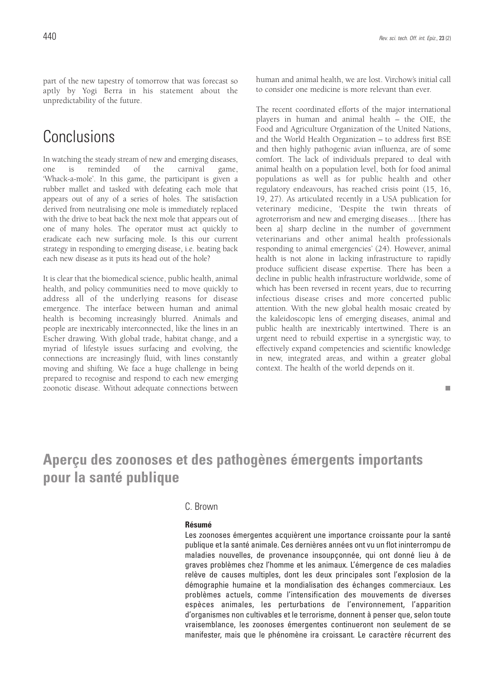part of the new tapestry of tomorrow that was forecast so aptly by Yogi Berra in his statement about the unpredictability of the future.

# Conclusions

In watching the steady stream of new and emerging diseases, one is reminded of the carnival game, 'Whack-a-mole'. In this game, the participant is given a rubber mallet and tasked with defeating each mole that appears out of any of a series of holes. The satisfaction derived from neutralising one mole is immediately replaced with the drive to beat back the next mole that appears out of one of many holes. The operator must act quickly to eradicate each new surfacing mole. Is this our current strategy in responding to emerging disease, i.e. beating back each new disease as it puts its head out of the hole?

It is clear that the biomedical science, public health, animal health, and policy communities need to move quickly to address all of the underlying reasons for disease emergence. The interface between human and animal health is becoming increasingly blurred. Animals and people are inextricably interconnected, like the lines in an Escher drawing. With global trade, habitat change, and a myriad of lifestyle issues surfacing and evolving, the connections are increasingly fluid, with lines constantly moving and shifting. We face a huge challenge in being prepared to recognise and respond to each new emerging zoonotic disease. Without adequate connections between human and animal health, we are lost. Virchow's initial call to consider one medicine is more relevant than ever.

The recent coordinated efforts of the major international players in human and animal health – the OIE, the Food and Agriculture Organization of the United Nations, and the World Health Organization – to address first BSE and then highly pathogenic avian influenza, are of some comfort. The lack of individuals prepared to deal with animal health on a population level, both for food animal populations as well as for public health and other regulatory endeavours, has reached crisis point (15, 16, 19, 27). As articulated recently in a USA publication for veterinary medicine, 'Despite the twin threats of agroterrorism and new and emerging diseases… [there has been a] sharp decline in the number of government veterinarians and other animal health professionals responding to animal emergencies' (24). However, animal health is not alone in lacking infrastructure to rapidly produce sufficient disease expertise. There has been a decline in public health infrastructure worldwide, some of which has been reversed in recent years, due to recurring infectious disease crises and more concerted public attention. With the new global health mosaic created by the kaleidoscopic lens of emerging diseases, animal and public health are inextricably intertwined. There is an urgent need to rebuild expertise in a synergistic way, to effectively expand competencies and scientific knowledge in new, integrated areas, and within a greater global context. The health of the world depends on it.

п

# **Aperçu des zoonoses et des pathogènes émergents importants pour la santé publique**

### C. Brown

#### **Résumé**

Les zoonoses émergentes acquièrent une importance croissante pour la santé publique et la santé animale. Ces dernières années ont vu un flot ininterrompu de maladies nouvelles, de provenance insoupçonnée, qui ont donné lieu à de graves problèmes chez l'homme et les animaux. L'émergence de ces maladies relève de causes multiples, dont les deux principales sont l'explosion de la démographie humaine et la mondialisation des échanges commerciaux. Les problèmes actuels, comme l'intensification des mouvements de diverses espèces animales, les perturbations de l'environnement, l'apparition d'organismes non cultivables et le terrorisme, donnent à penser que, selon toute vraisemblance, les zoonoses émergentes continueront non seulement de se manifester, mais que le phénomène ira croissant. Le caractère récurrent des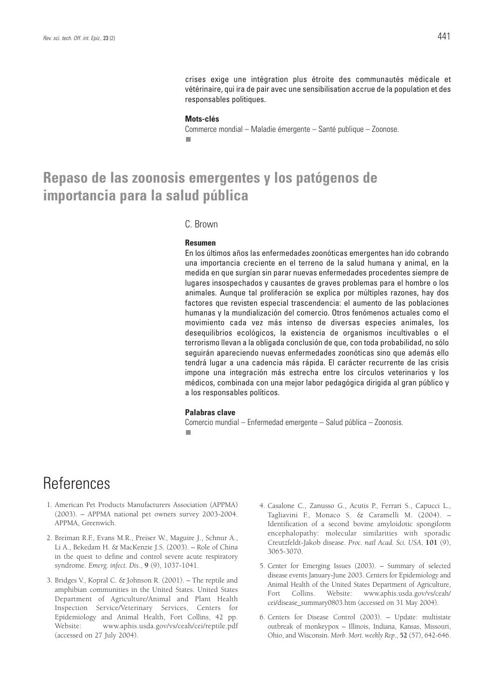crises exige une intégration plus étroite des communautés médicale et vétérinaire, qui ira de pair avec une sensibilisation accrue de la population et des responsables politiques.

#### **Mots-clés**

Commerce mondial – Maladie émergente – Santé publique – Zoonose.

### **Repaso de las zoonosis emergentes y los patógenos de importancia para la salud pública**

#### C. Brown

#### **Resumen**

En los últimos años las enfermedades zoonóticas emergentes han ido cobrando una importancia creciente en el terreno de la salud humana y animal, en la medida en que surgían sin parar nuevas enfermedades procedentes siempre de lugares insospechados y causantes de graves problemas para el hombre o los animales. Aunque tal proliferación se explica por múltiples razones, hay dos factores que revisten especial trascendencia: el aumento de las poblaciones humanas y la mundialización del comercio. Otros fenómenos actuales como el movimiento cada vez más intenso de diversas especies animales, los desequilibrios ecológicos, la existencia de organismos incultivables o el terrorismo llevan a la obligada conclusión de que, con toda probabilidad, no sólo seguirán apareciendo nuevas enfermedades zoonóticas sino que además ello tendrá lugar a una cadencia más rápida. El carácter recurrente de las crisis impone una integración más estrecha entre los círculos veterinarios y los médicos, combinada con una mejor labor pedagógica dirigida al gran público y a los responsables políticos.

#### **Palabras clave**

Comercio mundial – Enfermedad emergente – Salud pública – Zoonosis. п

# References

- 1. American Pet Products Manufacturers Association (APPMA) (2003). – APPMA national pet owners survey 2003-2004. APPMA, Greenwich.
- 2. Breiman R.F., Evans M.R., Preiser W., Maguire J., Schnur A., Li A., Bekedam H. & MacKenzie J.S. (2003). – Role of China in the quest to define and control severe acute respiratory syndrome. *Emerg. infect. Dis*., **9** (9), 1037-1041.
- 3. Bridges V., Kopral C. & Johnson R. (2001). The reptile and amphibian communities in the United States. United States Department of Agriculture/Animal and Plant Health Inspection Service/Veterinary Services, Centers for Epidemiology and Animal Health, Fort Collins, 42 pp. Website: www.aphis.usda.gov/vs/ceah/cei/reptile.pdf (accessed on 27 July 2004).
- 4. Casalone C., Zanusso G., Acutis P., Ferrari S., Capucci L., Tagliavini F., Monaco S. & Caramelli M. (2004). – Identification of a second bovine amyloidotic spongiform encephalopathy: molecular similarities with sporadic Creutzfeldt-Jakob disease. *Proc. natl Acad. Sci. USA*, **101** (9), 3065-3070.
- 5. Center for Emerging Issues (2003). Summary of selected disease events January-June 2003. Centers for Epidemiology and Animal Health of the United States Department of Agriculture, Fort Collins. Website: www.aphis.usda.gov/vs/ceah/ cei/disease\_summary0803.htm (accessed on 31 May 2004).
- 6. Centers for Disease Control (2003). Update: multistate outbreak of monkeypox – Illinois, Indiana, Kansas, Missouri, Ohio, and Wisconsin. *Morb. Mort. weekly Rep*., **52** (57), 642-646.